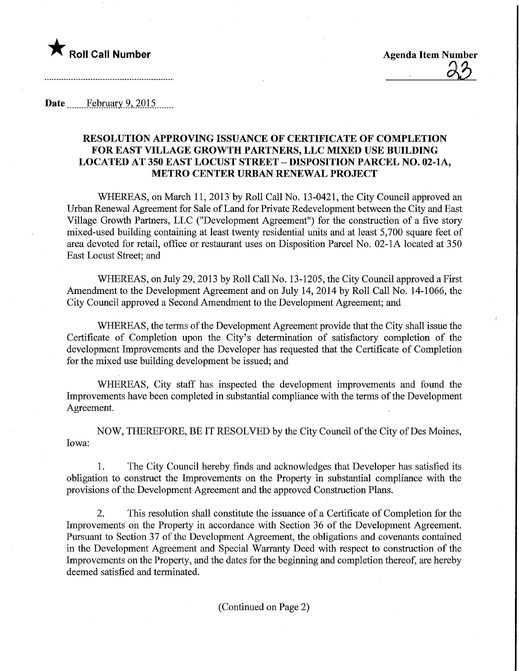

Date February 9, 2015

## RESOLUTION APPROVING ISSUANCE OF CERTIFICATE OF COMPLETION FOR EAST VILLAGE GROWTH PARTNERS, LLC MIXED USE BUILDING LOCATED AT 350 EAST LOCUST STREET - DISPOSITION PARCEL NO. 02-1A, METRO CENTER URBAN RENEWAL PROJECT

WHEREAS, on March 11, 2013 by Roll Call No. 13-0421, the City Council approved an Urban Renewal Agreement for Sale of Land for Private Redevelopment between the City and East Village Growth Partners, LLC ("Development Agreement") for the construction of a five story mixed-used building containing at least twenty residential units and at least 5,700 square feet of area devoted for retail, office or restaurant uses on Disposition Parcel No. 02-1A located at 350 East Locust Street; and

WHEREAS, on July 29, 2013 by Roll Call No. 13-1205, the City Council approved a First Amendment to the Development Agreement and on July 14, 2014 by Roll Call No. 14-1066, the City Council approved a Second Amendment to the Development Agreement; and

WHEREAS, the terms of the Development Agreement provide that the City shall issue the Certificate of Completion upon the City's determination of satisfactory completion of the development Improvements and the Developer has requested that the Certificate of Completion for the mixed use building development be issued; and

WHEREAS, City staff has inspected the development improvements and found the Improvements have been completed in substantial compliance with the terms of the Development Agreement.

NOW, THEREFORE, BE IT RESOLVED by the City Council of the City of Des Moines, Iowa:

1. The City Council hereby finds and acknowledges that Developer has satisfied its obligation to construct the Improvements on the Property in substantial compliance with the provisions of the Development Agreement and the approved Construction Plans.

2. This resolution shall constitute the issuance of a Certificate of Completion for the Improvements on the Property in accordance with Section 36 of the Development Agreement. Pursuant to Section 37 of the Development Agreement, the obligations and covenants contained in the Development Agreement and Special Warranty Deed with respect to construction of the Improvements on the Property, and the dates for the beginning and completion thereof, are hereby deemed satisfied and terminated.

(Continued on Page 2)